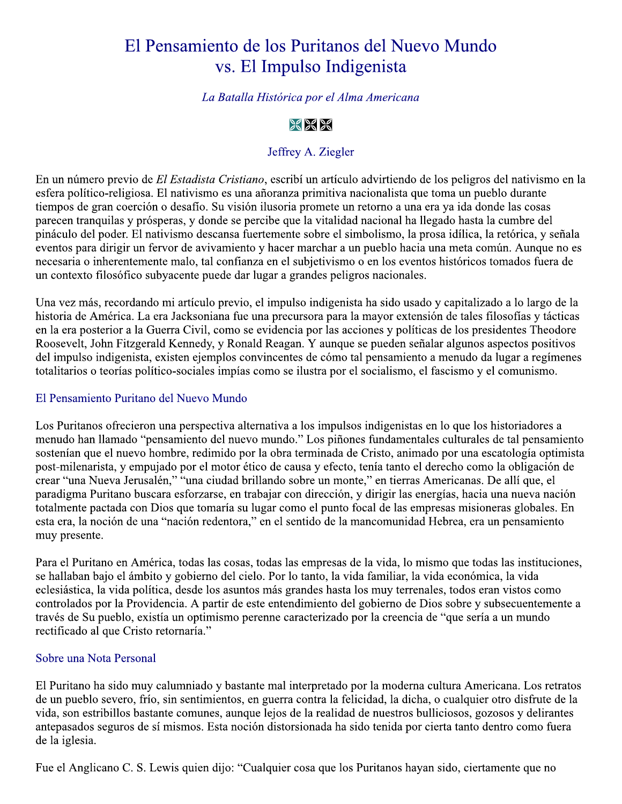# El Pensamiento de los Puritanos del Nuevo Mundo vs. El Impulso Indigenista

# La Batalla Histórica por el Alma Americana

# $%$   $%$   $%$

# Jeffrey A. Ziegler

En un número previo de El Estadista Cristiano, escribí un artículo advirtiendo de los peligros del nativismo en la esfera político-religiosa. El nativismo es una añoranza primitiva nacionalista que toma un pueblo durante tiempos de gran coerción o desafío. Su visión ilusoria promete un retorno a una era ya ida donde las cosas parecen tranquilas y prósperas, y donde se percibe que la vitalidad nacional ha llegado hasta la cumbre del pináculo del poder. El nativismo descansa fuertemente sobre el simbolismo, la prosa idílica, la retórica, y señala eventos para dirigir un fervor de avivamiento y hacer marchar a un pueblo hacia una meta común. Aunque no es necesaria o inherentemente malo, tal confianza en el subjetivismo o en los eventos históricos tomados fuera de un contexto filosófico subyacente puede dar lugar a grandes peligros nacionales.

Una vez más, recordando mi artículo previo, el impulso indigenista ha sido usado y capitalizado a lo largo de la historia de América. La era Jacksoniana fue una precursora para la mayor extensión de tales filosofías y tácticas en la era posterior a la Guerra Civil, como se evidencia por las acciones y políticas de los presidentes Theodore Roosevelt, John Fitzgerald Kennedy, y Ronald Reagan. Y aunque se pueden señalar algunos aspectos positivos del impulso indigenista, existen ejemplos convincentes de cómo tal pensamiento a menudo da lugar a regímenes totalitarios o teorías político-sociales impías como se ilustra por el socialismo, el fascismo y el comunismo.

#### El Pensamiento Puritano del Nuevo Mundo

Los Puritanos ofrecieron una perspectiva alternativa a los impulsos indigenistas en lo que los historiadores a menudo han llamado "pensamiento del nuevo mundo." Los piñones fundamentales culturales de tal pensamiento sostenían que el nuevo hombre, redimido por la obra terminada de Cristo, animado por una escatología optimista post-milenarista, y empujado por el motor ético de causa y efecto, tenía tanto el derecho como la obligación de crear "una Nueva Jerusalén," "una ciudad brillando sobre un monte," en tierras Americanas. De allí que, el paradigma Puritano buscara esforzarse, en trabajar con dirección, y dirigir las energías, hacia una nueva nación totalmente pactada con Dios que tomaría su lugar como el punto focal de las empresas misioneras globales. En esta era, la noción de una "nación redentora," en el sentido de la mancomunidad Hebrea, era un pensamiento muy presente.

Para el Puritano en América, todas las cosas, todas las empresas de la vida, lo mismo que todas las instituciones, se hallaban bajo el ámbito y gobierno del cielo. Por lo tanto, la vida familiar, la vida económica, la vida eclesiástica, la vida política, desde los asuntos más grandes hasta los muy terrenales, todos eran vistos como controlados por la Providencia. A partir de este entendimiento del gobierno de Dios sobre y subsecuentemente a través de Su pueblo, existía un optimismo perenne caracterizado por la creencia de "que sería a un mundo rectificado al que Cristo retornaría."

#### Sobre una Nota Personal

El Puritano ha sido muy calumniado y bastante mal interpretado por la moderna cultura Americana. Los retratos de un pueblo severo, frío, sin sentimientos, en guerra contra la felicidad, la dicha, o cualquier otro disfrute de la vida, son estribillos bastante comunes, aunque lejos de la realidad de nuestros bulliciosos, gozosos y delirantes antepasados seguros de sí mismos. Esta noción distorsionada ha sido tenida por cierta tanto dentro como fuera de la iglesia.

Fue el Anglicano C. S. Lewis quien dijo: "Cualquier cosa que los Puritanos hayan sido, ciertamente que no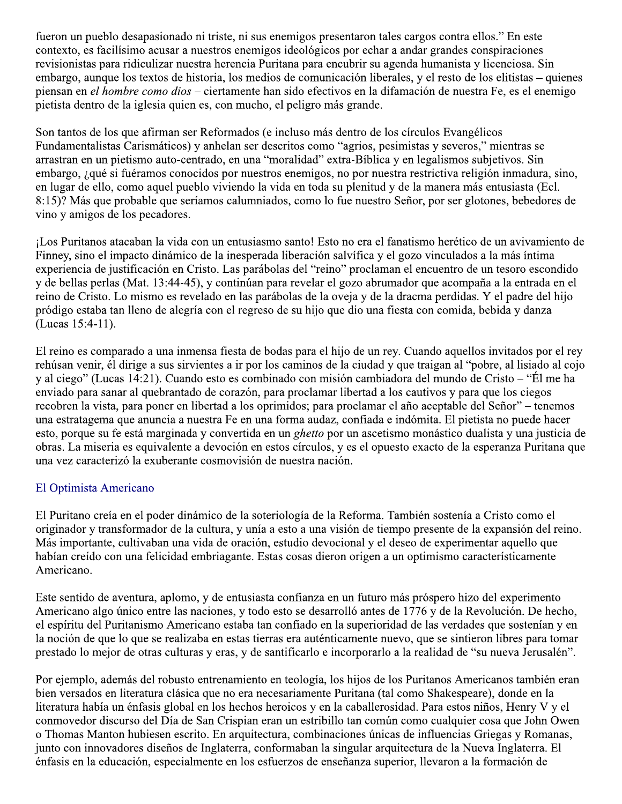fueron un pueblo desapasionado ni triste, ni sus enemigos presentaron tales cargos contra ellos." En este contexto, es facilísimo acusar a nuestros enemigos ideológicos por echar a andar grandes conspiraciones revisionistas para ridiculizar nuestra herencia Puritana para encubrir su agenda humanista y licenciosa. Sin embargo, aunque los textos de historia, los medios de comunicación liberales, y el resto de los elitistas – quienes piensan en el hombre como dios – ciertamente han sido efectivos en la difamación de nuestra Fe, es el enemigo pietista dentro de la iglesia quien es, con mucho, el peligro más grande.

Son tantos de los que afirman ser Reformados (e incluso más dentro de los círculos Evangélicos Fundamentalistas Carismáticos) y anhelan ser descritos como "agrios, pesimistas y severos," mientras se arrastran en un pietismo auto-centrado, en una "moralidad" extra-Bíblica y en legalismos subjetivos. Sin embargo, ¿qué si fuéramos conocidos por nuestros enemigos, no por nuestra restrictiva religión inmadura, sino, en lugar de ello, como aquel pueblo viviendo la vida en toda su plenitud y de la manera más entusiasta (Ecl. 8:15)? Más que probable que seríamos calumniados, como lo fue nuestro Señor, por ser glotones, bebedores de vino y amigos de los pecadores.

¡Los Puritanos atacaban la vida con un entusiasmo santo! Esto no era el fanatismo herético de un avivamiento de Finney, sino el impacto dinámico de la inesperada liberación salvífica y el gozo vinculados a la más íntima experiencia de justificación en Cristo. Las parábolas del "reino" proclaman el encuentro de un tesoro escondido y de bellas perlas (Mat. 13:44-45), y continúan para revelar el gozo abrumador que acompaña a la entrada en el reino de Cristo. Lo mismo es revelado en las parábolas de la oveja y de la dracma perdidas. Y el padre del hijo pródigo estaba tan lleno de alegría con el regreso de su hijo que dio una fiesta con comida, bebida y danza (Lucas 15:4-11).

El reino es comparado a una inmensa fiesta de bodas para el hijo de un rey. Cuando aquellos invitados por el rey rehúsan venir, él dirige a sus sirvientes a ir por los caminos de la ciudad y que traigan al "pobre, al lisiado al cojo y al ciego" (Lucas 14:21). Cuando esto es combinado con misión cambiadora del mundo de Cristo – "Él me ha enviado para sanar al quebrantado de corazón, para proclamar libertad a los cautivos y para que los ciegos recobren la vista, para poner en libertad a los oprimidos; para proclamar el año aceptable del Señor" – tenemos una estratagema que anuncia a nuestra Fe en una forma audaz, confiada e indómita. El pietista no puede hacer esto, porque su fe está marginada y convertida en un ghetto por un ascetismo monástico dualista y una justicia de obras. La miseria es equivalente a devoción en estos círculos, y es el opuesto exacto de la esperanza Puritana que una vez caracterizó la exuberante cosmovisión de nuestra nación.

# El Optimista Americano

El Puritano creía en el poder dinámico de la soteriología de la Reforma. También sostenía a Cristo como el originador y transformador de la cultura, y unía a esto a una visión de tiempo presente de la expansión del reino. Más importante, cultivaban una vida de oración, estudio devocional y el deseo de experimentar aquello que habían creído con una felicidad embriagante. Estas cosas dieron origen a un optimismo característicamente Americano.

Este sentido de aventura, aplomo, y de entusiasta confianza en un futuro más próspero hizo del experimento Americano algo único entre las naciones, y todo esto se desarrolló antes de 1776 y de la Revolución. De hecho, el espíritu del Puritanismo Americano estaba tan confiado en la superioridad de las verdades que sostenían y en la noción de que lo que se realizaba en estas tierras era auténticamente nuevo, que se sintieron libres para tomar prestado lo mejor de otras culturas y eras, y de santificarlo e incorporarlo a la realidad de "su nueva Jerusalén".

Por ejemplo, además del robusto entrenamiento en teología, los hijos de los Puritanos Americanos también eran bien versados en literatura clásica que no era necesariamente Puritana (tal como Shakespeare), donde en la literatura había un énfasis global en los hechos heroicos y en la caballerosidad. Para estos niños, Henry V y el conmovedor discurso del Día de San Crispian eran un estribillo tan común como cualquier cosa que John Owen o Thomas Manton hubiesen escrito. En arquitectura, combinaciones únicas de influencias Griegas y Romanas, junto con innovadores diseños de Inglaterra, conformaban la singular arquitectura de la Nueva Inglaterra. El énfasis en la educación, especialmente en los esfuerzos de enseñanza superior, llevaron a la formación de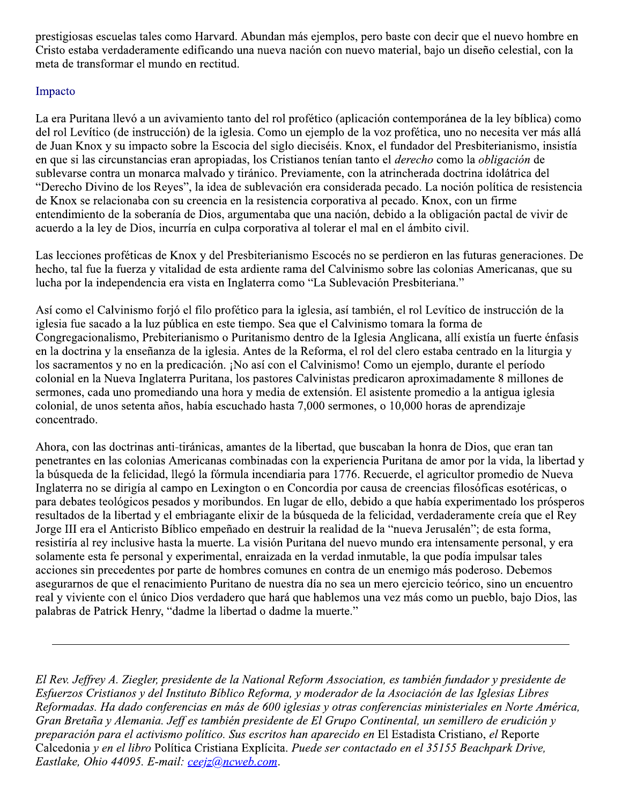prestigiosas escuelas tales como Harvard. Abundan más ejemplos, pero baste con decir que el nuevo hombre en Cristo estaba verdaderamente edificando una nueva nación con nuevo material, bajo un diseño celestial, con la meta de transformar el mundo en rectitud.

# Impacto

La era Puritana llevó a un avivamiento tanto del rol profético (aplicación contemporánea de la ley bíblica) como del rol Levítico (de instrucción) de la iglesia. Como un ejemplo de la voz profética, uno no necesita ver más allá de Juan Knox y su impacto sobre la Escocia del siglo dieciséis. Knox, el fundador del Presbiterianismo, insistía en que si las circunstancias eran apropiadas, los Cristianos tenían tanto el *derecho* como la *obligación* de sublevarse contra un monarca malvado y tiránico. Previamente, con la atrincherada doctrina idolátrica del "Derecho Divino de los Reyes", la idea de sublevación era considerada pecado. La noción política de resistencia de Knox se relacionaba con su creencia en la resistencia corporativa al pecado. Knox, con un firme entendimiento de la soberanía de Dios, argumentaba que una nación, debido a la obligación pactal de vivir de acuerdo a la ley de Dios, incurría en culpa corporativa al tolerar el mal en el ámbito civil.

Las lecciones proféticas de Knox y del Presbiterianismo Escocés no se perdieron en las futuras generaciones. De hecho, tal fue la fuerza y vitalidad de esta ardiente rama del Calvinismo sobre las colonias Americanas, que su lucha por la independencia era vista en Inglaterra como "La Sublevación Presbiteriana."

Así como el Calvinismo forjó el filo profético para la iglesia, así también, el rol Levítico de instrucción de la iglesia fue sacado a la luz pública en este tiempo. Sea que el Calvinismo tomara la forma de Congregacionalismo, Prebiterianismo o Puritanismo dentro de la Iglesia Anglicana, allí existía un fuerte énfasis en la doctrina y la enseñanza de la iglesia. Antes de la Reforma, el rol del clero estaba centrado en la liturgia y los sacramentos y no en la predicación. ¡No así con el Calvinismo! Como un ejemplo, durante el período colonial en la Nueva Inglaterra Puritana, los pastores Calvinistas predicaron aproximadamente 8 millones de sermones, cada uno promediando una hora y media de extensión. El asistente promedio a la antigua iglesia colonial, de unos setenta años, había escuchado hasta 7,000 sermones, o 10,000 horas de aprendizaje concentrado.

Ahora, con las doctrinas anti-tiránicas, amantes de la libertad, que buscaban la honra de Dios, que eran tan penetrantes en las colonias Americanas combinadas con la experiencia Puritana de amor por la vida, la libertad y la búsqueda de la felicidad, llegó la fórmula incendiaria para 1776. Recuerde, el agricultor promedio de Nueva Inglaterra no se dirigía al campo en Lexington o en Concordia por causa de creencias filosóficas esotéricas, o para debates teológicos pesados y moribundos. En lugar de ello, debido a que había experimentado los prósperos resultados de la libertad y el embriagante elixir de la búsqueda de la felicidad, verdaderamente creía que el Rey Jorge III era el Anticristo Bíblico empeñado en destruir la realidad de la "nueva Jerusalén"; de esta forma, resistiría al rey inclusive hasta la muerte. La visión Puritana del nuevo mundo era intensamente personal, y era solamente esta fe personal y experimental, enraizada en la verdad inmutable, la que podía impulsar tales acciones sin precedentes por parte de hombres comunes en contra de un enemigo más poderoso. Debemos asegurarnos de que el renacimiento Puritano de nuestra día no sea un mero ejercicio teórico, sino un encuentro real y viviente con el único Dios verdadero que hará que hablemos una vez más como un pueblo, bajo Dios, las palabras de Patrick Henry, "dadme la libertad o dadme la muerte."

El Rev. Jeffrey A. Ziegler, presidente de la National Reform Association, es también fundador y presidente de Esfuerzos Cristianos y del Instituto Bíblico Reforma, y moderador de la Asociación de las Iglesias Libres Reformadas. Ha dado conferencias en más de 600 iglesias y otras conferencias ministeriales en Norte América, Gran Bretaña y Alemania. Jeff es también presidente de El Grupo Continental, un semillero de erudición y preparación para el activismo político. Sus escritos han aparecido en El Estadista Cristiano, el Reporte Calcedonia y en el libro Política Cristiana Explícita. Puede ser contactado en el 35155 Beachpark Drive, Eastlake, Ohio 44095. E-mail: ceejz@ncweb.com.